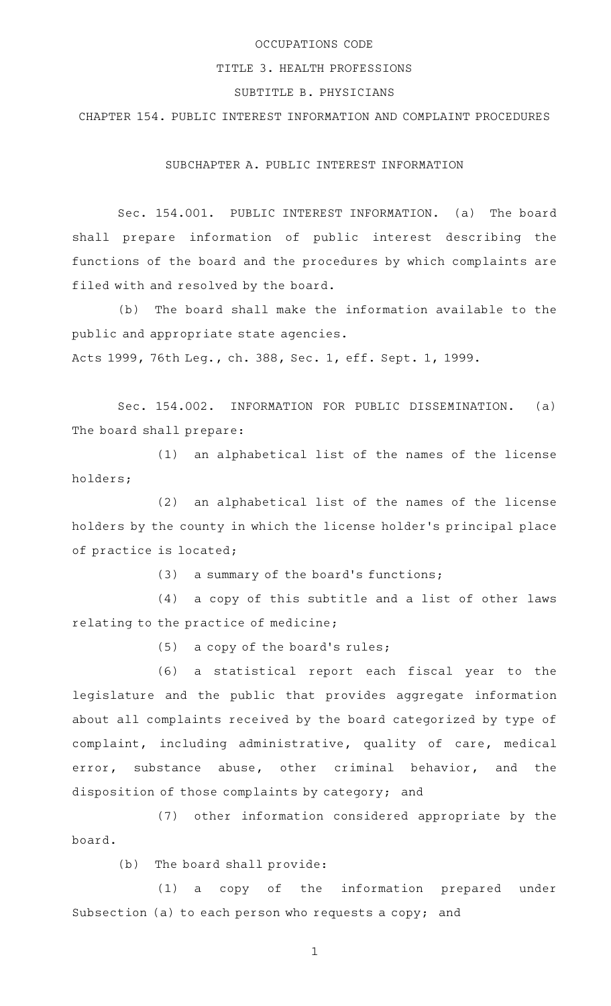## OCCUPATIONS CODE

## TITLE 3. HEALTH PROFESSIONS

## SUBTITLE B. PHYSICIANS

CHAPTER 154. PUBLIC INTEREST INFORMATION AND COMPLAINT PROCEDURES

SUBCHAPTER A. PUBLIC INTEREST INFORMATION

Sec. 154.001. PUBLIC INTEREST INFORMATION. (a) The board shall prepare information of public interest describing the functions of the board and the procedures by which complaints are filed with and resolved by the board.

(b) The board shall make the information available to the public and appropriate state agencies.

Acts 1999, 76th Leg., ch. 388, Sec. 1, eff. Sept. 1, 1999.

Sec. 154.002. INFORMATION FOR PUBLIC DISSEMINATION. (a) The board shall prepare:

(1) an alphabetical list of the names of the license holders;

 $(2)$  an alphabetical list of the names of the license holders by the county in which the license holder 's principal place of practice is located;

 $(3)$  a summary of the board's functions;

 $(4)$  a copy of this subtitle and a list of other laws relating to the practice of medicine;

 $(5)$  a copy of the board's rules;

(6) a statistical report each fiscal year to the legislature and the public that provides aggregate information about all complaints received by the board categorized by type of complaint, including administrative, quality of care, medical error, substance abuse, other criminal behavior, and the disposition of those complaints by category; and

(7) other information considered appropriate by the board.

(b) The board shall provide:

(1) a copy of the information prepared under Subsection (a) to each person who requests a copy; and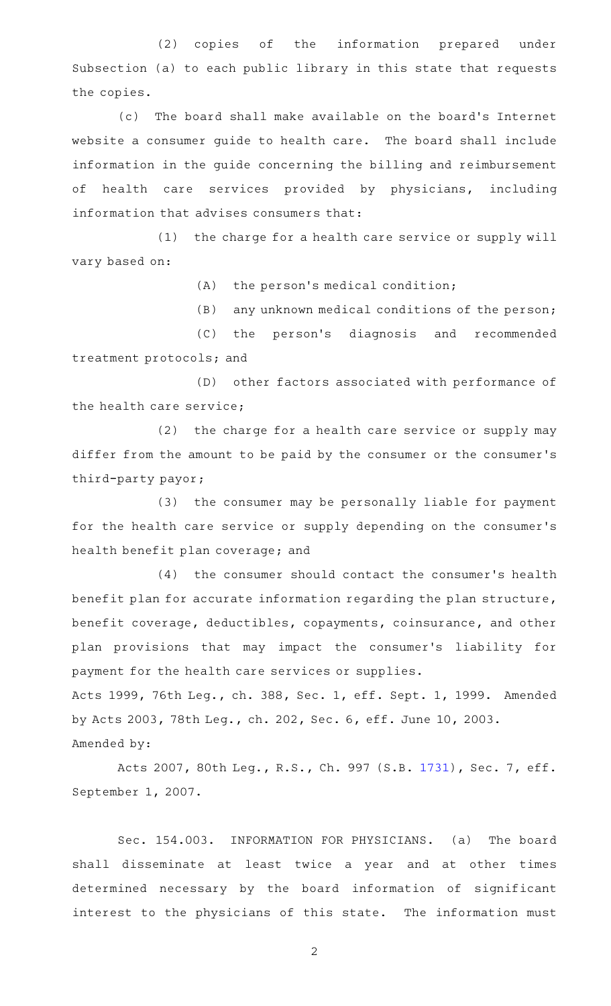(2) copies of the information prepared under Subsection (a) to each public library in this state that requests the copies.

(c) The board shall make available on the board's Internet website a consumer quide to health care. The board shall include information in the guide concerning the billing and reimbursement of health care services provided by physicians, including information that advises consumers that:

 $(1)$  the charge for a health care service or supply will vary based on:

 $(A)$  the person's medical condition;

(B) any unknown medical conditions of the person;

(C) the person's diagnosis and recommended treatment protocols; and

(D) other factors associated with performance of the health care service;

(2) the charge for a health care service or supply may differ from the amount to be paid by the consumer or the consumer 's third-party payor;

(3) the consumer may be personally liable for payment for the health care service or supply depending on the consumer 's health benefit plan coverage; and

(4) the consumer should contact the consumer's health benefit plan for accurate information regarding the plan structure, benefit coverage, deductibles, copayments, coinsurance, and other plan provisions that may impact the consumer 's liability for payment for the health care services or supplies.

Acts 1999, 76th Leg., ch. 388, Sec. 1, eff. Sept. 1, 1999. Amended by Acts 2003, 78th Leg., ch. 202, Sec. 6, eff. June 10, 2003. Amended by:

Acts 2007, 80th Leg., R.S., Ch. 997 (S.B. [1731](http://www.legis.state.tx.us/tlodocs/80R/billtext/html/SB01731F.HTM)), Sec. 7, eff. September 1, 2007.

Sec. 154.003. INFORMATION FOR PHYSICIANS. (a) The board shall disseminate at least twice a year and at other times determined necessary by the board information of significant interest to the physicians of this state. The information must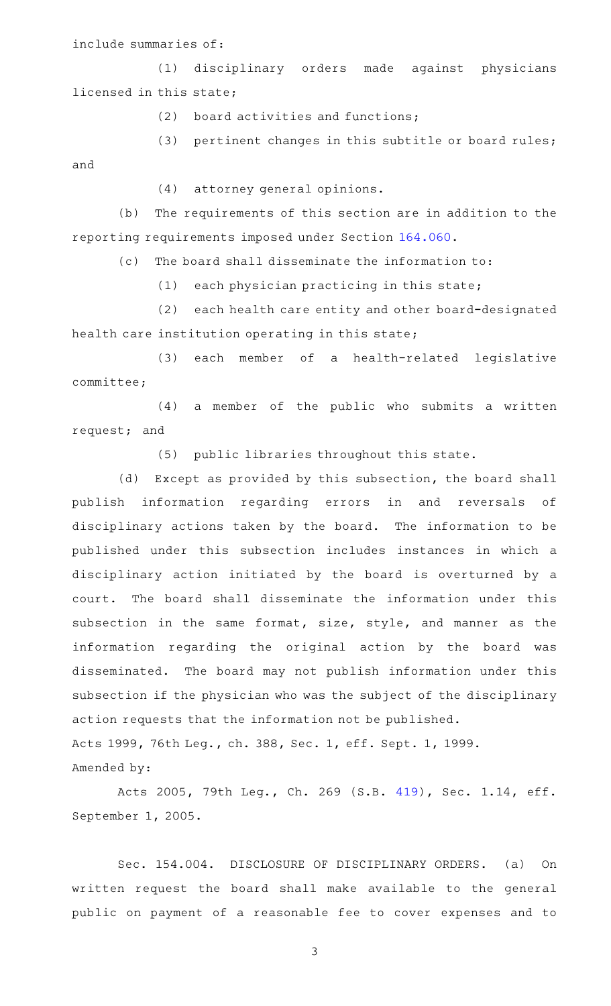include summaries of:

(1) disciplinary orders made against physicians licensed in this state;

 $(2)$  board activities and functions;

(3) pertinent changes in this subtitle or board rules; and

(4) attorney general opinions.

(b) The requirements of this section are in addition to the reporting requirements imposed under Section [164.060.](http://www.statutes.legis.state.tx.us/GetStatute.aspx?Code=OC&Value=164.060)

(c) The board shall disseminate the information to:

 $(1)$  each physician practicing in this state;

(2) each health care entity and other board-designated health care institution operating in this state;

(3) each member of a health-related legislative committee;

 $(4)$  a member of the public who submits a written request; and

(5) public libraries throughout this state.

(d) Except as provided by this subsection, the board shall publish information regarding errors in and reversals of disciplinary actions taken by the board. The information to be published under this subsection includes instances in which a disciplinary action initiated by the board is overturned by a court. The board shall disseminate the information under this subsection in the same format, size, style, and manner as the information regarding the original action by the board was disseminated. The board may not publish information under this subsection if the physician who was the subject of the disciplinary action requests that the information not be published. Acts 1999, 76th Leg., ch. 388, Sec. 1, eff. Sept. 1, 1999.

Amended by:

Acts 2005, 79th Leg., Ch. 269 (S.B. [419](http://www.legis.state.tx.us/tlodocs/79R/billtext/html/SB00419F.HTM)), Sec. 1.14, eff. September 1, 2005.

Sec. 154.004. DISCLOSURE OF DISCIPLINARY ORDERS. (a) On written request the board shall make available to the general public on payment of a reasonable fee to cover expenses and to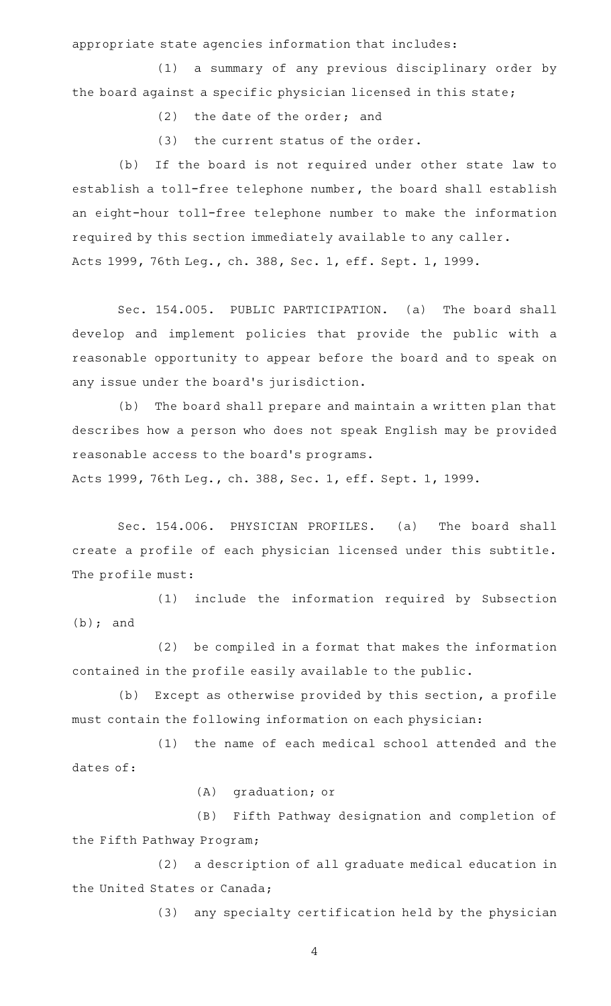appropriate state agencies information that includes:

(1) a summary of any previous disciplinary order by the board against a specific physician licensed in this state;

 $(2)$  the date of the order; and

 $(3)$  the current status of the order.

(b) If the board is not required under other state law to establish a toll-free telephone number, the board shall establish an eight-hour toll-free telephone number to make the information required by this section immediately available to any caller. Acts 1999, 76th Leg., ch. 388, Sec. 1, eff. Sept. 1, 1999.

Sec. 154.005. PUBLIC PARTICIPATION. (a) The board shall develop and implement policies that provide the public with a reasonable opportunity to appear before the board and to speak on any issue under the board's jurisdiction.

(b) The board shall prepare and maintain a written plan that describes how a person who does not speak English may be provided reasonable access to the board 's programs.

Acts 1999, 76th Leg., ch. 388, Sec. 1, eff. Sept. 1, 1999.

Sec. 154.006. PHYSICIAN PROFILES. (a) The board shall create a profile of each physician licensed under this subtitle. The profile must:

(1) include the information required by Subsection (b); and

(2) be compiled in a format that makes the information contained in the profile easily available to the public.

(b) Except as otherwise provided by this section, a profile must contain the following information on each physician:

(1) the name of each medical school attended and the dates of:

(A) graduation; or

(B) Fifth Pathway designation and completion of the Fifth Pathway Program;

(2) a description of all graduate medical education in the United States or Canada;

(3) any specialty certification held by the physician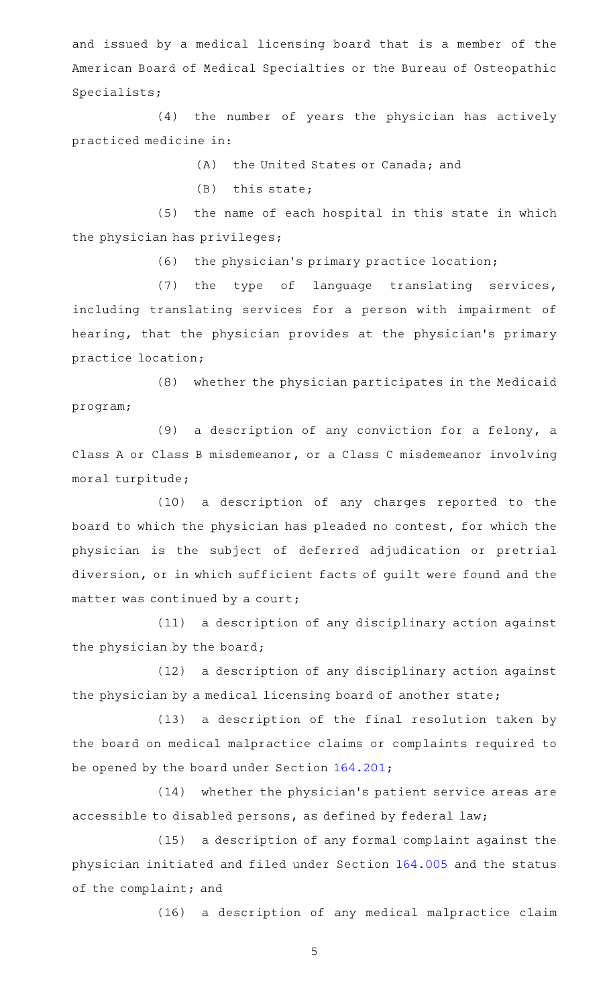and issued by a medical licensing board that is a member of the American Board of Medical Specialties or the Bureau of Osteopathic Specialists;

(4) the number of years the physician has actively practiced medicine in:

(A) the United States or Canada; and

 $(B)$  this state;

(5) the name of each hospital in this state in which the physician has privileges;

(6) the physician's primary practice location;

 $(7)$  the type of language translating services, including translating services for a person with impairment of hearing, that the physician provides at the physician's primary practice location;

(8) whether the physician participates in the Medicaid program;

(9) a description of any conviction for a felony, a Class A or Class B misdemeanor, or a Class C misdemeanor involving moral turpitude;

(10) a description of any charges reported to the board to which the physician has pleaded no contest, for which the physician is the subject of deferred adjudication or pretrial diversion, or in which sufficient facts of guilt were found and the matter was continued by a court;

(11) a description of any disciplinary action against the physician by the board;

(12) a description of any disciplinary action against the physician by a medical licensing board of another state;

(13) a description of the final resolution taken by the board on medical malpractice claims or complaints required to be opened by the board under Section [164.201;](http://www.statutes.legis.state.tx.us/GetStatute.aspx?Code=OC&Value=164.201)

(14) whether the physician's patient service areas are accessible to disabled persons, as defined by federal law;

(15) a description of any formal complaint against the physician initiated and filed under Section [164.005](http://www.statutes.legis.state.tx.us/GetStatute.aspx?Code=OC&Value=164.005) and the status of the complaint; and

(16) a description of any medical malpractice claim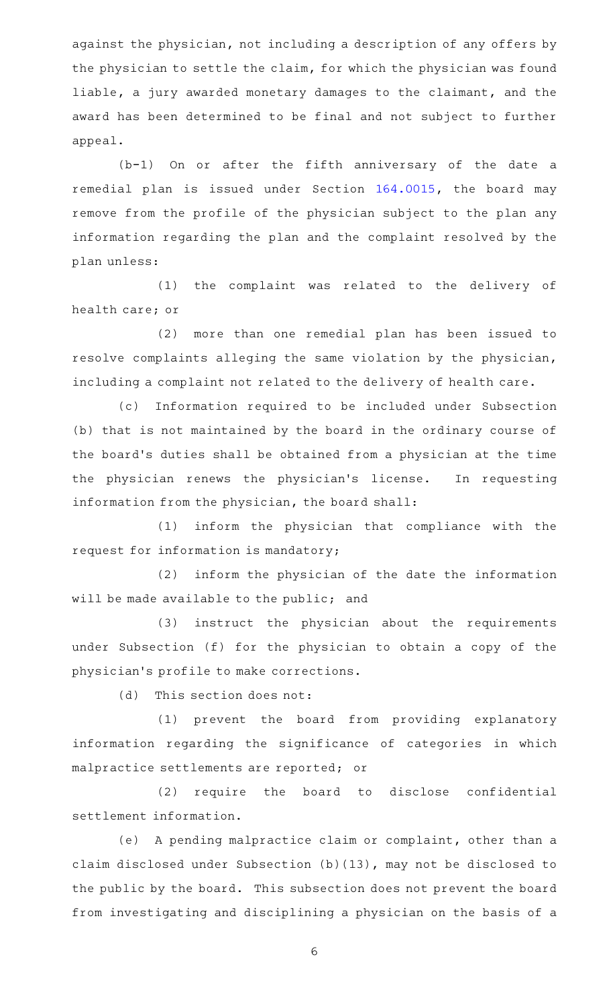against the physician, not including a description of any offers by the physician to settle the claim, for which the physician was found liable, a jury awarded monetary damages to the claimant, and the award has been determined to be final and not subject to further appeal.

 $(b-1)$  On or after the fifth anniversary of the date a remedial plan is issued under Section [164.0015](http://www.statutes.legis.state.tx.us/GetStatute.aspx?Code=OC&Value=164.0015), the board may remove from the profile of the physician subject to the plan any information regarding the plan and the complaint resolved by the plan unless:

(1) the complaint was related to the delivery of health care; or

(2) more than one remedial plan has been issued to resolve complaints alleging the same violation by the physician, including a complaint not related to the delivery of health care.

(c) Information required to be included under Subsection (b) that is not maintained by the board in the ordinary course of the board's duties shall be obtained from a physician at the time the physician renews the physician's license. In requesting information from the physician, the board shall:

(1) inform the physician that compliance with the request for information is mandatory;

(2) inform the physician of the date the information will be made available to the public; and

(3) instruct the physician about the requirements under Subsection (f) for the physician to obtain a copy of the physician 's profile to make corrections.

 $(d)$  This section does not:

(1) prevent the board from providing explanatory information regarding the significance of categories in which malpractice settlements are reported; or

(2) require the board to disclose confidential settlement information.

(e) A pending malpractice claim or complaint, other than a claim disclosed under Subsection (b)(13), may not be disclosed to the public by the board. This subsection does not prevent the board from investigating and disciplining a physician on the basis of a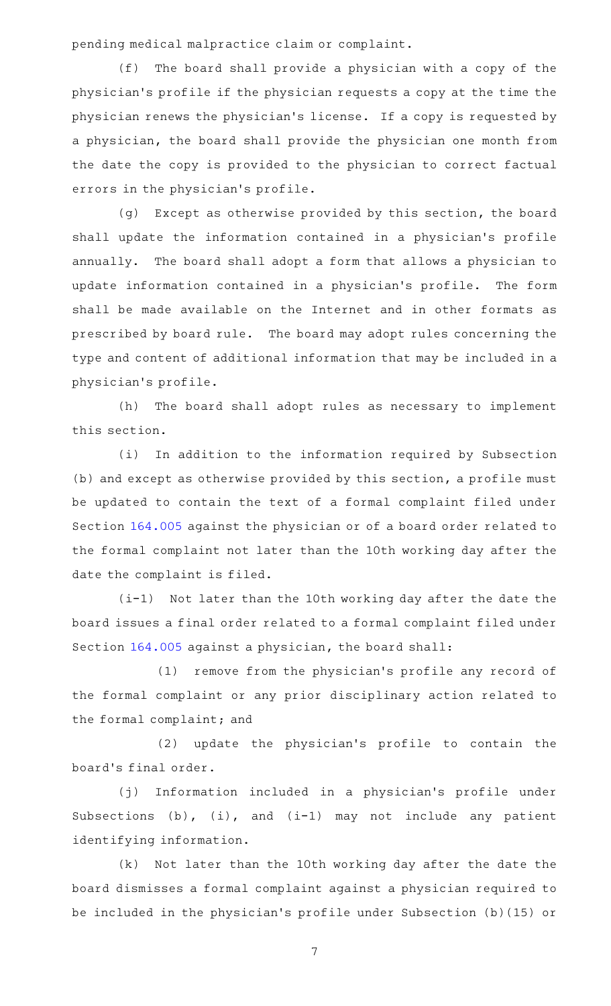pending medical malpractice claim or complaint.

(f) The board shall provide a physician with a copy of the physician 's profile if the physician requests a copy at the time the physician renews the physician 's license. If a copy is requested by a physician, the board shall provide the physician one month from the date the copy is provided to the physician to correct factual errors in the physician 's profile.

(g) Except as otherwise provided by this section, the board shall update the information contained in a physician 's profile annually. The board shall adopt a form that allows a physician to update information contained in a physician's profile. The form shall be made available on the Internet and in other formats as prescribed by board rule. The board may adopt rules concerning the type and content of additional information that may be included in a physician 's profile.

(h) The board shall adopt rules as necessary to implement this section.

(i) In addition to the information required by Subsection (b) and except as otherwise provided by this section, a profile must be updated to contain the text of a formal complaint filed under Section [164.005](http://www.statutes.legis.state.tx.us/GetStatute.aspx?Code=OC&Value=164.005) against the physician or of a board order related to the formal complaint not later than the 10th working day after the date the complaint is filed.

(i-1) Not later than the 10th working day after the date the board issues a final order related to a formal complaint filed under Section [164.005](http://www.statutes.legis.state.tx.us/GetStatute.aspx?Code=OC&Value=164.005) against a physician, the board shall:

(1) remove from the physician's profile any record of the formal complaint or any prior disciplinary action related to the formal complaint; and

(2) update the physician's profile to contain the board's final order.

(j) Information included in a physician's profile under Subsections  $(b)$ ,  $(i)$ , and  $(i-1)$  may not include any patient identifying information.

(k) Not later than the 10th working day after the date the board dismisses a formal complaint against a physician required to be included in the physician 's profile under Subsection (b)(15) or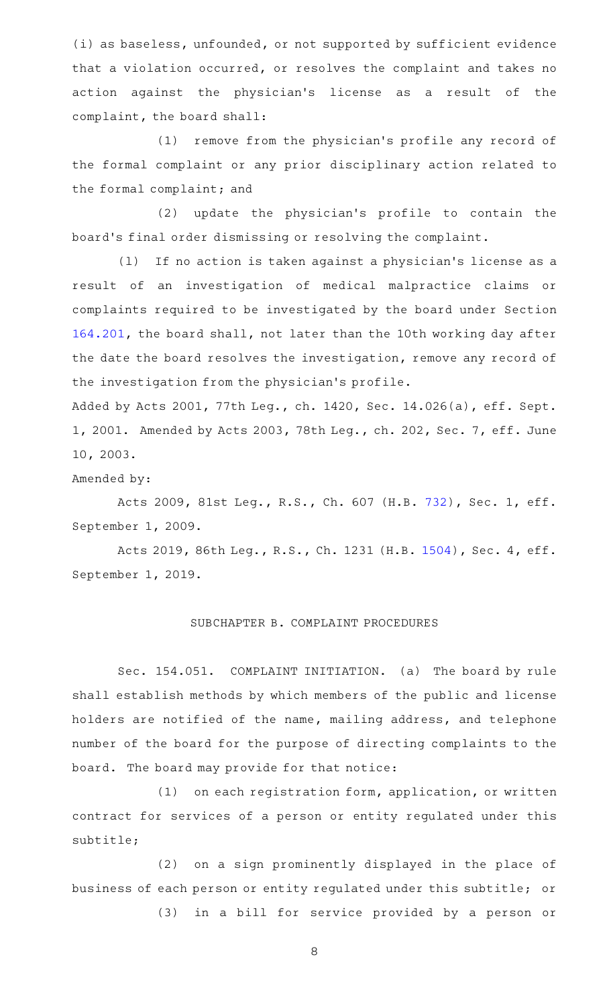(i) as baseless, unfounded, or not supported by sufficient evidence that a violation occurred, or resolves the complaint and takes no action against the physician's license as a result of the complaint, the board shall:

(1) remove from the physician's profile any record of the formal complaint or any prior disciplinary action related to the formal complaint; and

(2) update the physician's profile to contain the board's final order dismissing or resolving the complaint.

(1) If no action is taken against a physician's license as a result of an investigation of medical malpractice claims or complaints required to be investigated by the board under Section [164.201,](http://www.statutes.legis.state.tx.us/GetStatute.aspx?Code=OC&Value=164.201) the board shall, not later than the 10th working day after the date the board resolves the investigation, remove any record of the investigation from the physician 's profile.

Added by Acts 2001, 77th Leg., ch. 1420, Sec. 14.026(a), eff. Sept. 1, 2001. Amended by Acts 2003, 78th Leg., ch. 202, Sec. 7, eff. June 10, 2003.

Amended by:

Acts 2009, 81st Leg., R.S., Ch. 607 (H.B. [732](http://www.legis.state.tx.us/tlodocs/81R/billtext/html/HB00732F.HTM)), Sec. 1, eff. September 1, 2009.

Acts 2019, 86th Leg., R.S., Ch. 1231 (H.B. [1504](http://www.legis.state.tx.us/tlodocs/86R/billtext/html/HB01504F.HTM)), Sec. 4, eff. September 1, 2019.

## SUBCHAPTER B. COMPLAINT PROCEDURES

Sec. 154.051. COMPLAINT INITIATION. (a) The board by rule shall establish methods by which members of the public and license holders are notified of the name, mailing address, and telephone number of the board for the purpose of directing complaints to the board. The board may provide for that notice:

 $(1)$  on each registration form, application, or written contract for services of a person or entity regulated under this subtitle;

(2) on a sign prominently displayed in the place of business of each person or entity regulated under this subtitle; or

(3) in a bill for service provided by a person or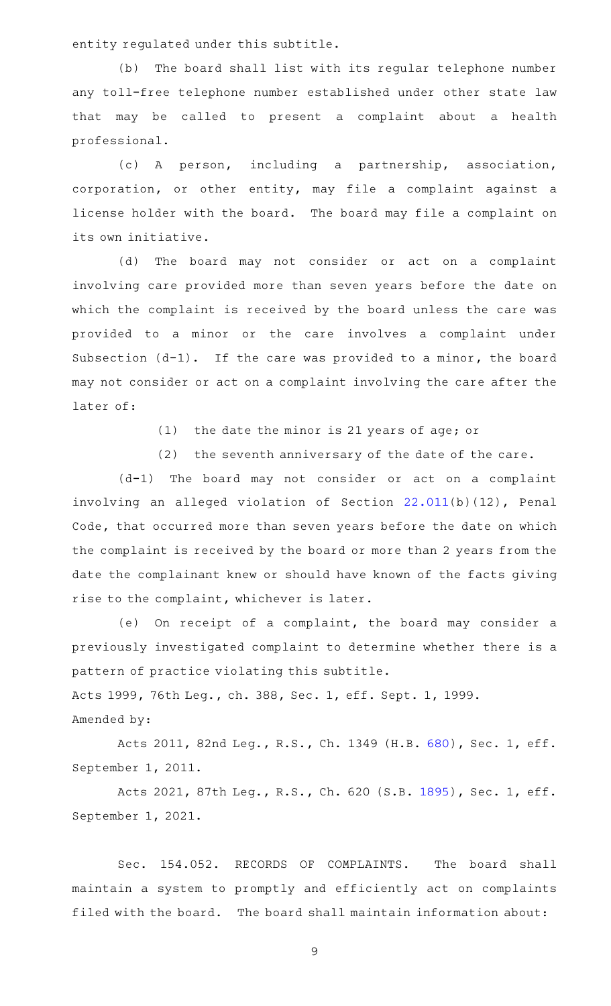entity regulated under this subtitle.

(b) The board shall list with its regular telephone number any toll-free telephone number established under other state law that may be called to present a complaint about a health professional.

(c)AAA person, including a partnership, association, corporation, or other entity, may file a complaint against a license holder with the board. The board may file a complaint on its own initiative.

(d) The board may not consider or act on a complaint involving care provided more than seven years before the date on which the complaint is received by the board unless the care was provided to a minor or the care involves a complaint under Subsection  $(d-1)$ . If the care was provided to a minor, the board may not consider or act on a complaint involving the care after the later of:

 $(1)$  the date the minor is 21 years of age; or

 $(2)$  the seventh anniversary of the date of the care.

 $(d-1)$  The board may not consider or act on a complaint involving an alleged violation of Section [22.011\(](http://www.statutes.legis.state.tx.us/GetStatute.aspx?Code=PE&Value=22.011)b)(12), Penal Code, that occurred more than seven years before the date on which the complaint is received by the board or more than 2 years from the date the complainant knew or should have known of the facts giving rise to the complaint, whichever is later.

(e) On receipt of a complaint, the board may consider a previously investigated complaint to determine whether there is a pattern of practice violating this subtitle.

Acts 1999, 76th Leg., ch. 388, Sec. 1, eff. Sept. 1, 1999.

Amended by:

Acts 2011, 82nd Leg., R.S., Ch. 1349 (H.B. [680](http://www.legis.state.tx.us/tlodocs/82R/billtext/html/HB00680F.HTM)), Sec. 1, eff. September 1, 2011.

Acts 2021, 87th Leg., R.S., Ch. 620 (S.B. [1895](http://www.legis.state.tx.us/tlodocs/87R/billtext/html/SB01895F.HTM)), Sec. 1, eff. September 1, 2021.

Sec. 154.052. RECORDS OF COMPLAINTS. The board shall maintain a system to promptly and efficiently act on complaints filed with the board. The board shall maintain information about: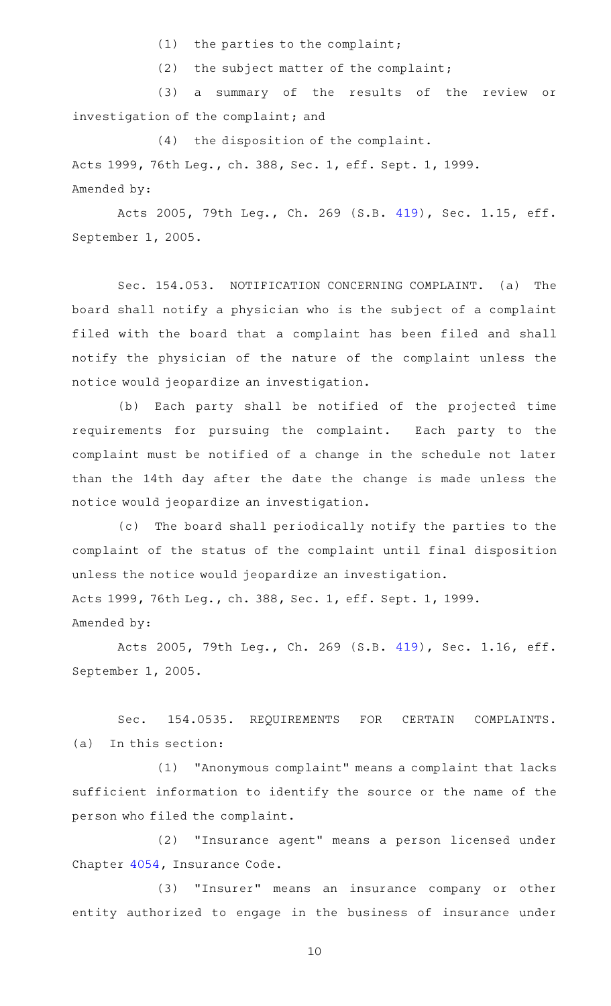$(1)$  the parties to the complaint;

(2) the subject matter of the complaint;

(3) a summary of the results of the review or investigation of the complaint; and

 $(4)$  the disposition of the complaint. Acts 1999, 76th Leg., ch. 388, Sec. 1, eff. Sept. 1, 1999. Amended by:

Acts 2005, 79th Leg., Ch. 269 (S.B. [419](http://www.legis.state.tx.us/tlodocs/79R/billtext/html/SB00419F.HTM)), Sec. 1.15, eff. September 1, 2005.

Sec. 154.053. NOTIFICATION CONCERNING COMPLAINT. (a) The board shall notify a physician who is the subject of a complaint filed with the board that a complaint has been filed and shall notify the physician of the nature of the complaint unless the notice would jeopardize an investigation.

(b) Each party shall be notified of the projected time requirements for pursuing the complaint. Each party to the complaint must be notified of a change in the schedule not later than the 14th day after the date the change is made unless the notice would jeopardize an investigation.

(c) The board shall periodically notify the parties to the complaint of the status of the complaint until final disposition unless the notice would jeopardize an investigation. Acts 1999, 76th Leg., ch. 388, Sec. 1, eff. Sept. 1, 1999. Amended by:

Acts 2005, 79th Leg., Ch. 269 (S.B. [419](http://www.legis.state.tx.us/tlodocs/79R/billtext/html/SB00419F.HTM)), Sec. 1.16, eff. September 1, 2005.

Sec. 154.0535. REQUIREMENTS FOR CERTAIN COMPLAINTS.  $(a)$  In this section:

(1) "Anonymous complaint" means a complaint that lacks sufficient information to identify the source or the name of the person who filed the complaint.

(2) "Insurance agent" means a person licensed under Chapter [4054](http://www.statutes.legis.state.tx.us/GetStatute.aspx?Code=IN&Value=4054), Insurance Code.

(3) "Insurer" means an insurance company or other entity authorized to engage in the business of insurance under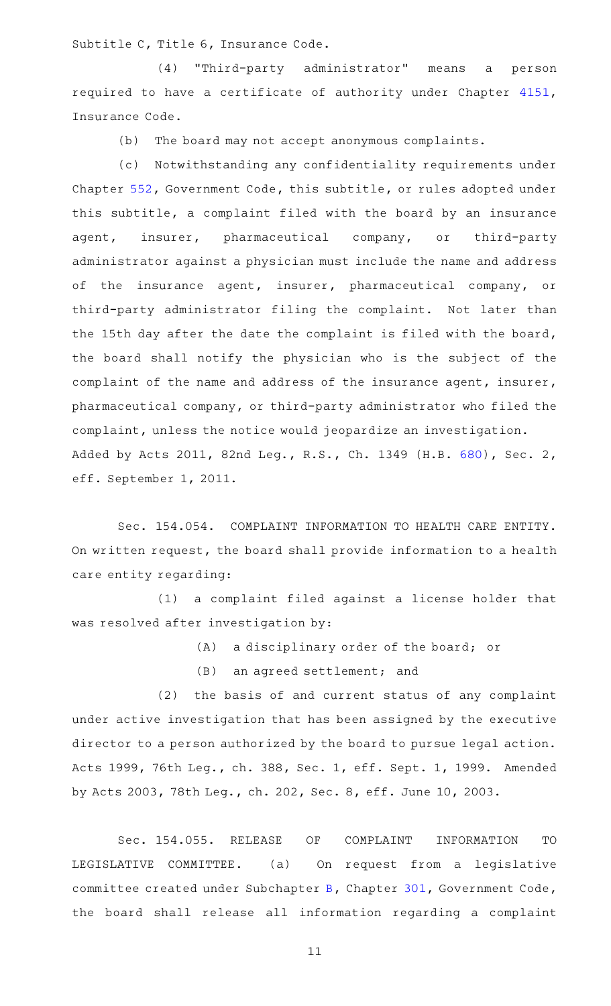Subtitle C, Title 6, Insurance Code.

(4) "Third-party administrator" means a person required to have a certificate of authority under Chapter [4151](http://www.statutes.legis.state.tx.us/GetStatute.aspx?Code=IN&Value=4151), Insurance Code.

 $(b)$  The board may not accept anonymous complaints.

(c) Notwithstanding any confidentiality requirements under Chapter [552,](http://www.statutes.legis.state.tx.us/GetStatute.aspx?Code=GV&Value=552) Government Code, this subtitle, or rules adopted under this subtitle, a complaint filed with the board by an insurance agent, insurer, pharmaceutical company, or third-party administrator against a physician must include the name and address of the insurance agent, insurer, pharmaceutical company, or third-party administrator filing the complaint. Not later than the 15th day after the date the complaint is filed with the board, the board shall notify the physician who is the subject of the complaint of the name and address of the insurance agent, insurer, pharmaceutical company, or third-party administrator who filed the complaint, unless the notice would jeopardize an investigation. Added by Acts 2011, 82nd Leg., R.S., Ch. 1349 (H.B. [680](http://www.legis.state.tx.us/tlodocs/82R/billtext/html/HB00680F.HTM)), Sec. 2, eff. September 1, 2011.

Sec. 154.054. COMPLAINT INFORMATION TO HEALTH CARE ENTITY. On written request, the board shall provide information to a health care entity regarding:

(1) a complaint filed against a license holder that was resolved after investigation by:

(A) a disciplinary order of the board; or

 $(B)$  an agreed settlement; and

(2) the basis of and current status of any complaint under active investigation that has been assigned by the executive director to a person authorized by the board to pursue legal action. Acts 1999, 76th Leg., ch. 388, Sec. 1, eff. Sept. 1, 1999. Amended by Acts 2003, 78th Leg., ch. 202, Sec. 8, eff. June 10, 2003.

Sec. 154.055. RELEASE OF COMPLAINT INFORMATION TO LEGISLATIVE COMMITTEE. (a) On request from a legislative committee created under Subchapter [B,](http://www.statutes.legis.state.tx.us/GetStatute.aspx?Code=GV&Value=301.011) Chapter [301](http://www.statutes.legis.state.tx.us/GetStatute.aspx?Code=GV&Value=301), Government Code, the board shall release all information regarding a complaint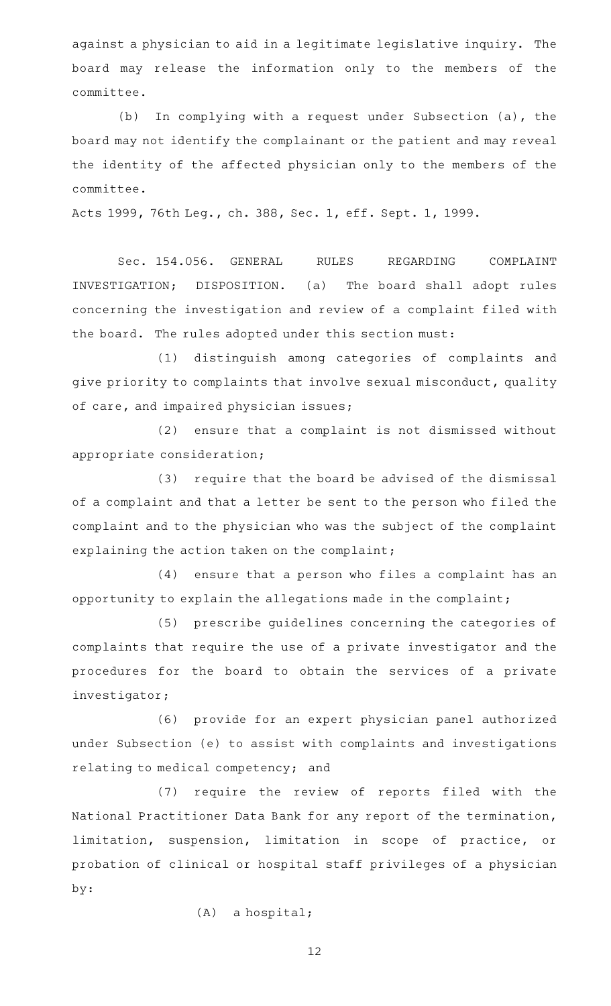against a physician to aid in a legitimate legislative inquiry. The board may release the information only to the members of the committee.

(b) In complying with a request under Subsection (a), the board may not identify the complainant or the patient and may reveal the identity of the affected physician only to the members of the committee.

Acts 1999, 76th Leg., ch. 388, Sec. 1, eff. Sept. 1, 1999.

Sec. 154.056. GENERAL RULES REGARDING COMPLAINT INVESTIGATION; DISPOSITION. (a) The board shall adopt rules concerning the investigation and review of a complaint filed with the board. The rules adopted under this section must:

(1) distinguish among categories of complaints and give priority to complaints that involve sexual misconduct, quality of care, and impaired physician issues;

(2) ensure that a complaint is not dismissed without appropriate consideration;

(3) require that the board be advised of the dismissal of a complaint and that a letter be sent to the person who filed the complaint and to the physician who was the subject of the complaint explaining the action taken on the complaint;

 $(4)$  ensure that a person who files a complaint has an opportunity to explain the allegations made in the complaint;

(5) prescribe guidelines concerning the categories of complaints that require the use of a private investigator and the procedures for the board to obtain the services of a private investigator;

(6) provide for an expert physician panel authorized under Subsection (e) to assist with complaints and investigations relating to medical competency; and

(7) require the review of reports filed with the National Practitioner Data Bank for any report of the termination, limitation, suspension, limitation in scope of practice, or probation of clinical or hospital staff privileges of a physician by:

 $(A)$  a hospital;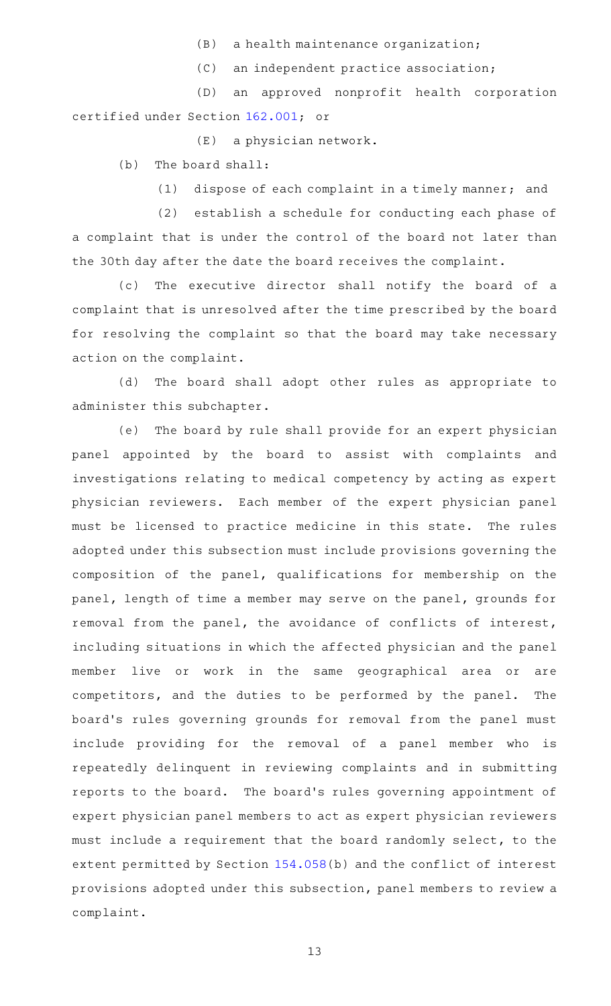- $(B)$  a health maintenance organization;
- $(C)$  an independent practice association;

(D) an approved nonprofit health corporation certified under Section [162.001](http://www.statutes.legis.state.tx.us/GetStatute.aspx?Code=OC&Value=162.001); or

 $(E)$  a physician network.

 $(b)$  The board shall:

(1) dispose of each complaint in a timely manner; and

(2) establish a schedule for conducting each phase of a complaint that is under the control of the board not later than the 30th day after the date the board receives the complaint.

(c) The executive director shall notify the board of a complaint that is unresolved after the time prescribed by the board for resolving the complaint so that the board may take necessary action on the complaint.

(d) The board shall adopt other rules as appropriate to administer this subchapter.

(e) The board by rule shall provide for an expert physician panel appointed by the board to assist with complaints and investigations relating to medical competency by acting as expert physician reviewers. Each member of the expert physician panel must be licensed to practice medicine in this state. The rules adopted under this subsection must include provisions governing the composition of the panel, qualifications for membership on the panel, length of time a member may serve on the panel, grounds for removal from the panel, the avoidance of conflicts of interest, including situations in which the affected physician and the panel member live or work in the same geographical area or are competitors, and the duties to be performed by the panel. The board's rules governing grounds for removal from the panel must include providing for the removal of a panel member who is repeatedly delinquent in reviewing complaints and in submitting reports to the board. The board's rules governing appointment of expert physician panel members to act as expert physician reviewers must include a requirement that the board randomly select, to the extent permitted by Section [154.058](http://www.statutes.legis.state.tx.us/GetStatute.aspx?Code=OC&Value=154.058)(b) and the conflict of interest provisions adopted under this subsection, panel members to review a complaint.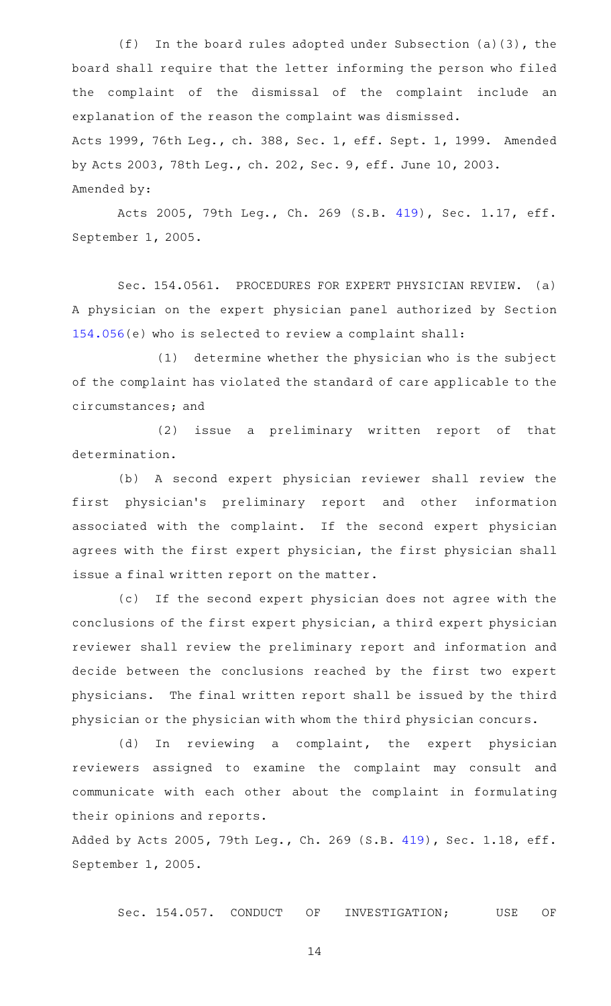(f) In the board rules adopted under Subsection (a)(3), the board shall require that the letter informing the person who filed the complaint of the dismissal of the complaint include an explanation of the reason the complaint was dismissed. Acts 1999, 76th Leg., ch. 388, Sec. 1, eff. Sept. 1, 1999. Amended by Acts 2003, 78th Leg., ch. 202, Sec. 9, eff. June 10, 2003. Amended by:

Acts 2005, 79th Leg., Ch. 269 (S.B. [419](http://www.legis.state.tx.us/tlodocs/79R/billtext/html/SB00419F.HTM)), Sec. 1.17, eff. September 1, 2005.

Sec. 154.0561. PROCEDURES FOR EXPERT PHYSICIAN REVIEW. (a) A physician on the expert physician panel authorized by Section [154.056\(](http://www.statutes.legis.state.tx.us/GetStatute.aspx?Code=OC&Value=154.056)e) who is selected to review a complaint shall:

(1) determine whether the physician who is the subject of the complaint has violated the standard of care applicable to the circumstances; and

(2) issue a preliminary written report of that determination.

(b) A second expert physician reviewer shall review the first physician 's preliminary report and other information associated with the complaint. If the second expert physician agrees with the first expert physician, the first physician shall issue a final written report on the matter.

(c) If the second expert physician does not agree with the conclusions of the first expert physician, a third expert physician reviewer shall review the preliminary report and information and decide between the conclusions reached by the first two expert physicians. The final written report shall be issued by the third physician or the physician with whom the third physician concurs.

(d) In reviewing a complaint, the expert physician reviewers assigned to examine the complaint may consult and communicate with each other about the complaint in formulating their opinions and reports.

Added by Acts 2005, 79th Leg., Ch. 269 (S.B. [419](http://www.legis.state.tx.us/tlodocs/79R/billtext/html/SB00419F.HTM)), Sec. 1.18, eff. September 1, 2005.

Sec. 154.057. CONDUCT OF INVESTIGATION; USE OF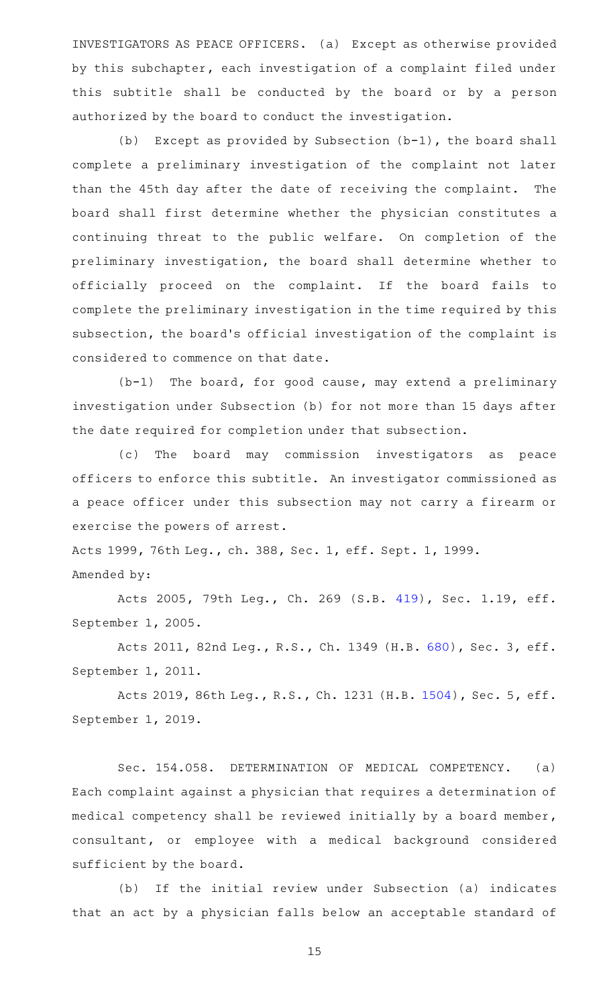INVESTIGATORS AS PEACE OFFICERS. (a) Except as otherwise provided by this subchapter, each investigation of a complaint filed under this subtitle shall be conducted by the board or by a person authorized by the board to conduct the investigation.

(b) Except as provided by Subsection  $(b-1)$ , the board shall complete a preliminary investigation of the complaint not later than the 45th day after the date of receiving the complaint. The board shall first determine whether the physician constitutes a continuing threat to the public welfare. On completion of the preliminary investigation, the board shall determine whether to officially proceed on the complaint. If the board fails to complete the preliminary investigation in the time required by this subsection, the board's official investigation of the complaint is considered to commence on that date.

 $(b-1)$  The board, for good cause, may extend a preliminary investigation under Subsection (b) for not more than 15 days after the date required for completion under that subsection.

(c) The board may commission investigators as peace officers to enforce this subtitle. An investigator commissioned as a peace officer under this subsection may not carry a firearm or exercise the powers of arrest.

Acts 1999, 76th Leg., ch. 388, Sec. 1, eff. Sept. 1, 1999. Amended by:

Acts 2005, 79th Leg., Ch. 269 (S.B. [419](http://www.legis.state.tx.us/tlodocs/79R/billtext/html/SB00419F.HTM)), Sec. 1.19, eff. September 1, 2005.

Acts 2011, 82nd Leg., R.S., Ch. 1349 (H.B. [680](http://www.legis.state.tx.us/tlodocs/82R/billtext/html/HB00680F.HTM)), Sec. 3, eff. September 1, 2011.

Acts 2019, 86th Leg., R.S., Ch. 1231 (H.B. [1504](http://www.legis.state.tx.us/tlodocs/86R/billtext/html/HB01504F.HTM)), Sec. 5, eff. September 1, 2019.

Sec. 154.058. DETERMINATION OF MEDICAL COMPETENCY. (a) Each complaint against a physician that requires a determination of medical competency shall be reviewed initially by a board member, consultant, or employee with a medical background considered sufficient by the board.

(b) If the initial review under Subsection (a) indicates that an act by a physician falls below an acceptable standard of